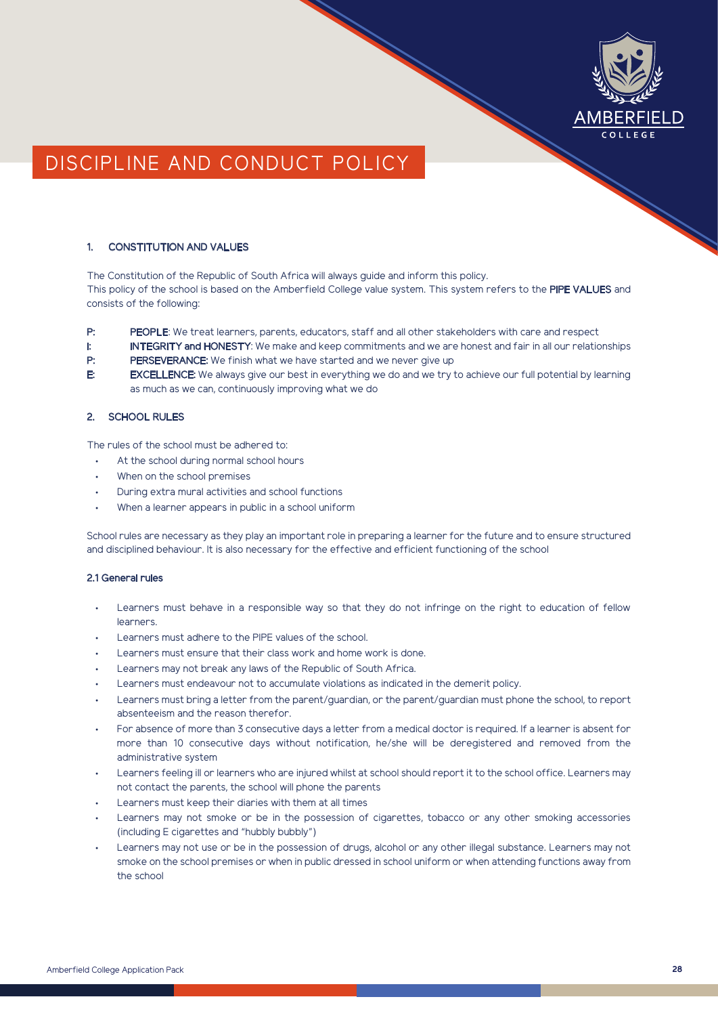

# DISCIPLINE AND CONDUCT POLICY

# 1. CONSTITUTION AND VALUES

The Constitution of the Republic of South Africa will always guide and inform this policy. This policy of the school is based on the Amberfield College value system. This system refers to the PIPE VALUES and consists of the following:

- P: PEOPLE: We treat learners, parents, educators, staff and all other stakeholders with care and respect
- I: INTEGRITY and HONESTY: We make and keep commitments and we are honest and fair in all our relationships
- P: PERSEVERANCE: We finish what we have started and we never give up
- E: EXCELLENCE: We always give our best in everything we do and we try to achieve our full potential by learning as much as we can, continuously improving what we do

# 2. SCHOOL RULES

The rules of the school must be adhered to:

- At the school during normal school hours
- When on the school premises
- During extra mural activities and school functions
- When a learner appears in public in a school uniform

School rules are necessary as they play an important role in preparing a learner for the future and to ensure structured and disciplined behaviour. It is also necessary for the effective and efficient functioning of the school

# 2.1 General rules

- Learners must behave in a responsible way so that they do not infringe on the right to education of fellow **learners**
- Learners must adhere to the PIPE values of the school.
- Learners must ensure that their class work and home work is done.
- Learners may not break any laws of the Republic of South Africa.
- Learners must endeavour not to accumulate violations as indicated in the demerit policy.
- Learners must bring a letter from the parent/guardian, or the parent/guardian must phone the school, to report absenteeism and the reason therefor.
- For absence of more than 3 consecutive days a letter from a medical doctor is required. If a learner is absent for more than 10 consecutive days without notification, he/she will be deregistered and removed from the administrative system
- Learners feeling ill or learners who are injured whilst at school should report it to the school office. Learners may not contact the parents, the school will phone the parents
- Learners must keep their diaries with them at all times
- Learners may not smoke or be in the possession of cigarettes, tobacco or any other smoking accessories (including E cigarettes and "hubbly bubbly")
- Learners may not use or be in the possession of drugs, alcohol or any other illegal substance. Learners may not smoke on the school premises or when in public dressed in school uniform or when attending functions away from the school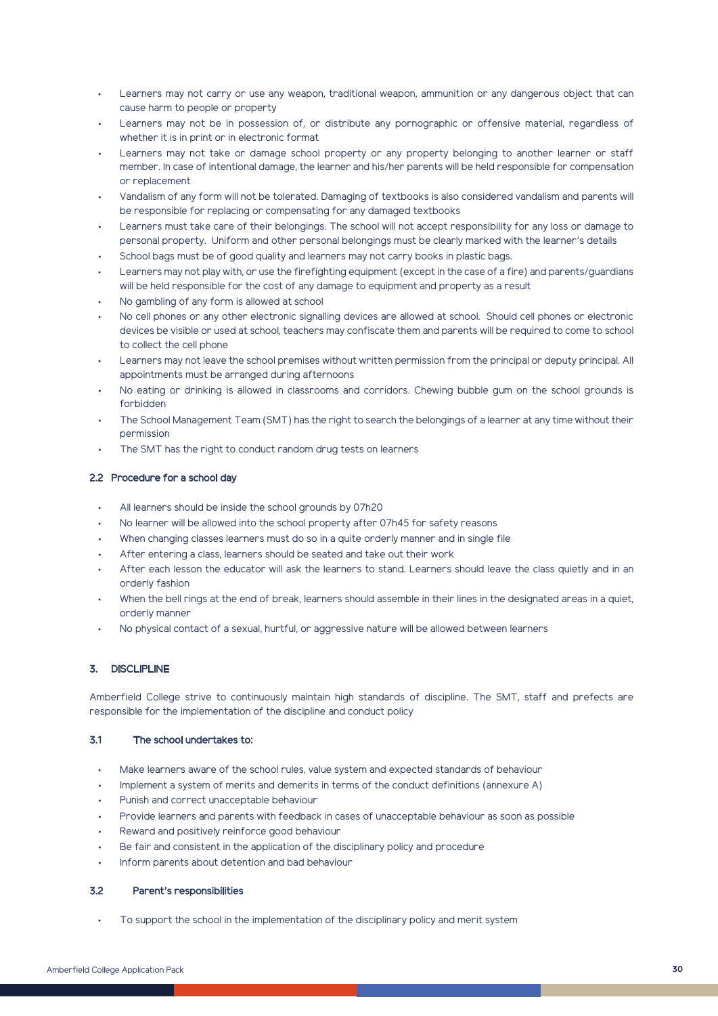- Learners may not carry or use any weapon, traditional weapon, ammunition or any dangerous object that can cause harm to people or property
- Learners may not be in possession of, or distribute any pornographic or offensive material, regardless of whether it is in print or in electronic format
- Learners may not take or damage school property or any property belonging to another learner or staff member. In case of intentional damage, the learner and his/her parents will be held responsible for compensation or replacement
- Vandalism of any form will not be tolerated. Damaging of textbooks is also considered vandalism and parents will be responsible for replacing or compensating for any damaged textbooks
- Learners must take care of their belongings. The school will not accept responsibility for any loss or damage to personal property. Uniform and other personal belongings must be clearly marked with the learner's details
- School bags must be of good quality and learners may not carry books in plastic bags.
- Learners may not play with, or use the firefighting equipment (except in the case of a fire) and parents/guardians will be held responsible for the cost of any damage to equipment and property as a result
- No gambling of any form is allowed at school
- No cell phones or any other electronic signalling devices are allowed at school. Should cell phones or electronic devices be visible or used at school, teachers may confiscate them and parents will be required to come to school to collect the cell phone
- Learners may not leave the school premises without written permission from the principal or deputy principal. All appointments must be arranged during afternoons
- No eating or drinking is allowed in classrooms and corridors. Chewing bubble gum on the school grounds is forbidden
- The School Management Team (SMT) has the right to search the belongings of a learner at any time without their permission
- The SMT has the right to conduct random drug tests on learners

### 2.2 Procedure for a school day

- All learners should be inside the school grounds by 07h20
- No learner will be allowed into the school property after 07h45 for safety reasons
- When changing classes learners must do so in a quite orderly manner and in single file
- After entering a class, learners should be seated and take out their work
- After each lesson the educator will ask the learners to stand. Learners should leave the class quietly and in an orderly fashion
- When the bell rings at the end of break, learners should assemble in their lines in the designated areas in a quiet, orderly manner
- No physical contact of a sexual, hurtful, or aggressive nature will be allowed between learners

# 3. DISCLIPLINE

Amberfield College strive to continuously maintain high standards of discipline. The SMT, staff and prefects are responsible for the implementation of the discipline and conduct policy

### 3.1 The school undertakes to:

- Make learners aware of the school rules, value system and expected standards of behaviour
- Implement a system of merits and demerits in terms of the conduct definitions (annexure A)
- Punish and correct unacceptable behaviour
- Provide learners and parents with feedback in cases of unacceptable behaviour as soon as possible
- Reward and positively reinforce good behaviour
- Be fair and consistent in the application of the disciplinary policy and procedure
- Inform parents about detention and bad behaviour

### 3.2 Parent's responsibilities

• To support the school in the implementation of the disciplinary policy and merit system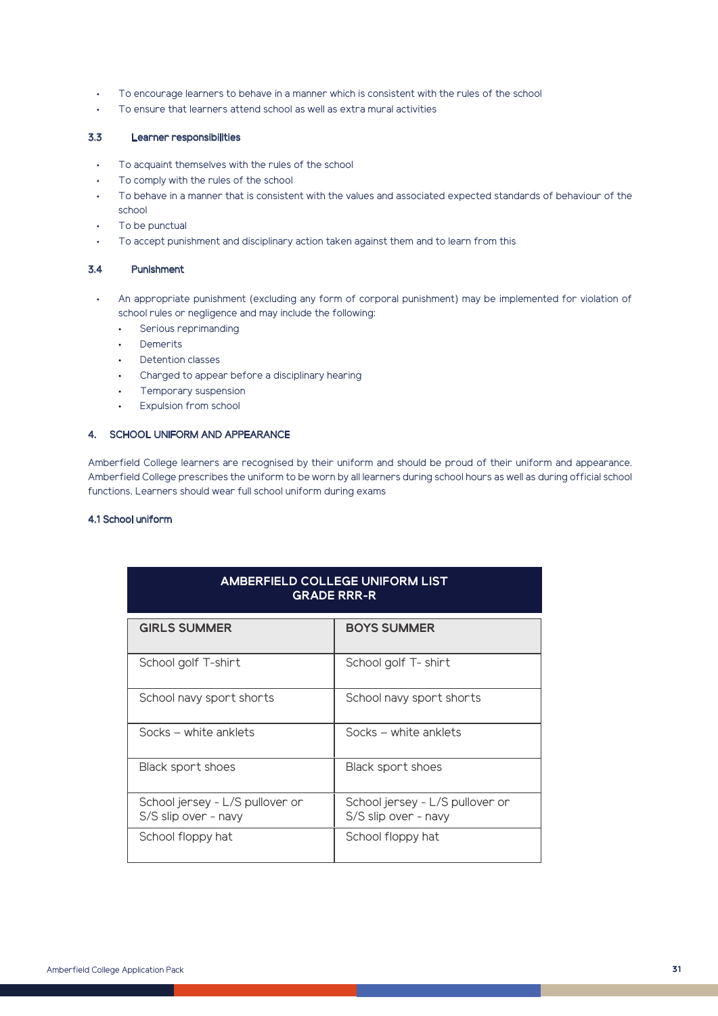- To encourage learners to behave in a manner which is consistent with the rules of the school
- To ensure that learners attend school as well as extra mural activities

# 3.3 Learner responsibilities

- To acquaint themselves with the rules of the school
- To comply with the rules of the school
- To behave in a manner that is consistent with the values and associated expected standards of behaviour of the school
- To be punctual
- To accept punishment and disciplinary action taken against them and to learn from this

### 3.4 Punishment

- An appropriate punishment (excluding any form of corporal punishment) may be implemented for violation of school rules or negligence and may include the following:
	- Serious reprimanding
	- Demerits
	- Detention classes
	- Charged to appear before a disciplinary hearing
	- Temporary suspension
	- Expulsion from school

# 4. SCHOOL UNIFORM AND APPEARANCE

Amberfield College learners are recognised by their uniform and should be proud of their uniform and appearance. Amberfield College prescribes the uniform to be worn by all learners during school hours as well as during official school functions. Learners should wear full school uniform during exams

### 4.1 School uniform

| <b>AMBERFIELD COLLEGE UNIFORM LIST</b><br><b>GRADE RRR-R</b> |                                                         |
|--------------------------------------------------------------|---------------------------------------------------------|
| <b>GIRLS SUMMER</b>                                          | <b>BOYS SUMMER</b>                                      |
| School golf T-shirt                                          | School golf T-shirt                                     |
| School navy sport shorts                                     | School navy sport shorts                                |
| Socks – white anklets                                        | Socks – white anklets                                   |
| Black sport shoes                                            | Black sport shoes                                       |
| School jersey - L/S pullover or<br>S/S slip over - navy      | School jersey - L/S pullover or<br>S/S slip over - navy |
| School floppy hat                                            | School floppy hat                                       |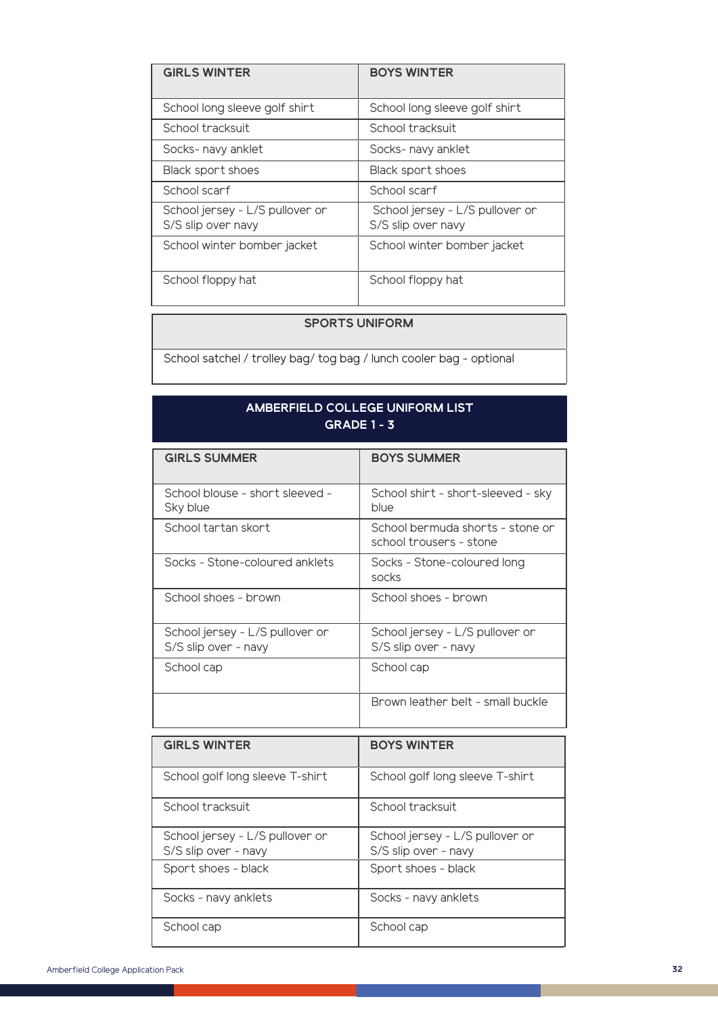| <b>GIRLS WINTER</b>                                   | <b>BOYS WINTER</b>                                    |
|-------------------------------------------------------|-------------------------------------------------------|
| School long sleeve golf shirt                         | School long sleeve golf shirt                         |
| School tracksuit                                      | School tracksuit                                      |
| Socks- navy anklet                                    | Socks- navy anklet                                    |
| Black sport shoes                                     | Black sport shoes                                     |
| School scarf                                          | School scarf                                          |
| School jersey - L/S pullover or<br>S/S slip over navy | School jersey - L/S pullover or<br>S/S slip over navy |
| School winter bomber jacket                           | School winter bomber jacket                           |
| School floppy hat                                     | School floppy hat                                     |

# **SPORTS UNIFORM**

School satchel / trolley bag/ tog bag / lunch cooler bag - optional

# **AMBERFIELD COLLEGE UNIFORM LIST GRADE 1 - 3**

| <b>GIRLS SUMMER</b>                                     | <b>BOYS SUMMER</b>                                          |
|---------------------------------------------------------|-------------------------------------------------------------|
| School blouse - short sleeved -<br>Sky blue             | School shirt - short-sleeved - sky<br>blue                  |
| School tartan skort                                     | School bermuda shorts - stone or<br>school trousers - stone |
| Socks - Stone-coloured anklets                          | Socks - Stone-coloured long<br>socks                        |
| School shoes - brown                                    | School shoes - brown                                        |
| School jersey - L/S pullover or<br>S/S slip over - navy | School jersey - L/S pullover or<br>S/S slip over - navy     |
| School cap                                              | School cap                                                  |
|                                                         | Brown leather belt - small buckle                           |

| <b>GIRLS WINTER</b>                                     | <b>BOYS WINTER</b>                                      |
|---------------------------------------------------------|---------------------------------------------------------|
| School golf long sleeve T-shirt                         | School golf long sleeve T-shirt                         |
| School tracksuit                                        | School tracksuit                                        |
| School jersey - L/S pullover or<br>S/S slip over - navy | School jersey - L/S pullover or<br>S/S slip over - navy |
| Sport shoes - black                                     | Sport shoes - black                                     |
| Socks - navy anklets                                    | Socks - navy anklets                                    |
| School cap                                              | School cap                                              |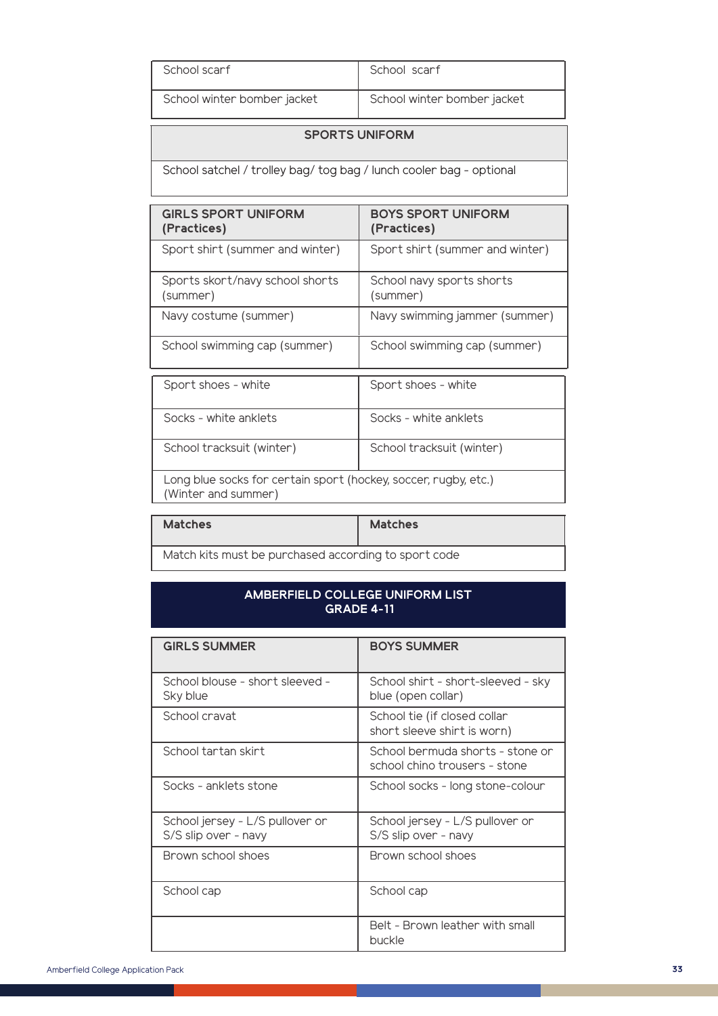| School scarf                | School scarf                |
|-----------------------------|-----------------------------|
| School winter bomber jacket | School winter bomber jacket |

# **SPORTS UNIFORM**

School satchel / trolley bag/ tog bag / lunch cooler bag - optional

| <b>GIRLS SPORT UNIFORM</b><br>(Practices)                                              | <b>BOYS SPORT UNIFORM</b><br>(Practices) |
|----------------------------------------------------------------------------------------|------------------------------------------|
| Sport shirt (summer and winter)                                                        | Sport shirt (summer and winter)          |
| Sports skort/navy school shorts<br>(summer)                                            | School navy sports shorts<br>(summer)    |
| Navy costume (summer)                                                                  | Navy swimming jammer (summer)            |
| School swimming cap (summer)                                                           | School swimming cap (summer)             |
| Sport shoes - white                                                                    | Sport shoes - white                      |
| Socks - white anklets                                                                  | Socks - white anklets                    |
| School tracksuit (winter)                                                              | School tracksuit (winter)                |
| Long blue socks for certain sport (hockey, soccer, rugby, etc.)<br>(Winter and summer) |                                          |

| <b>Matches</b>                                       | <b>Matches</b> |
|------------------------------------------------------|----------------|
| Match kits must be purchased according to sport code |                |

# **AMBERFIELD COLLEGE UNIFORM LIST GRADE 4-11**

| <b>GIRLS SUMMER</b>                                     | <b>BOYS SUMMER</b>                                                |  |
|---------------------------------------------------------|-------------------------------------------------------------------|--|
| School blouse - short sleeved -<br>Sky blue             | School shirt - short-sleeved - sky<br>blue (open collar)          |  |
| School cravat                                           | School tie (if closed collar<br>short sleeve shirt is worn)       |  |
| School tartan skirt                                     | School bermuda shorts - stone or<br>school chino trousers - stone |  |
| Socks - anklets stone                                   | School socks - long stone-colour                                  |  |
| School jersey - L/S pullover or<br>S/S slip over - navy | School jersey - L/S pullover or<br>S/S slip over - navy           |  |
| Brown school shoes                                      | Brown school shoes                                                |  |
| School cap                                              | School cap                                                        |  |
|                                                         | Belt - Brown leather with small<br>buckle                         |  |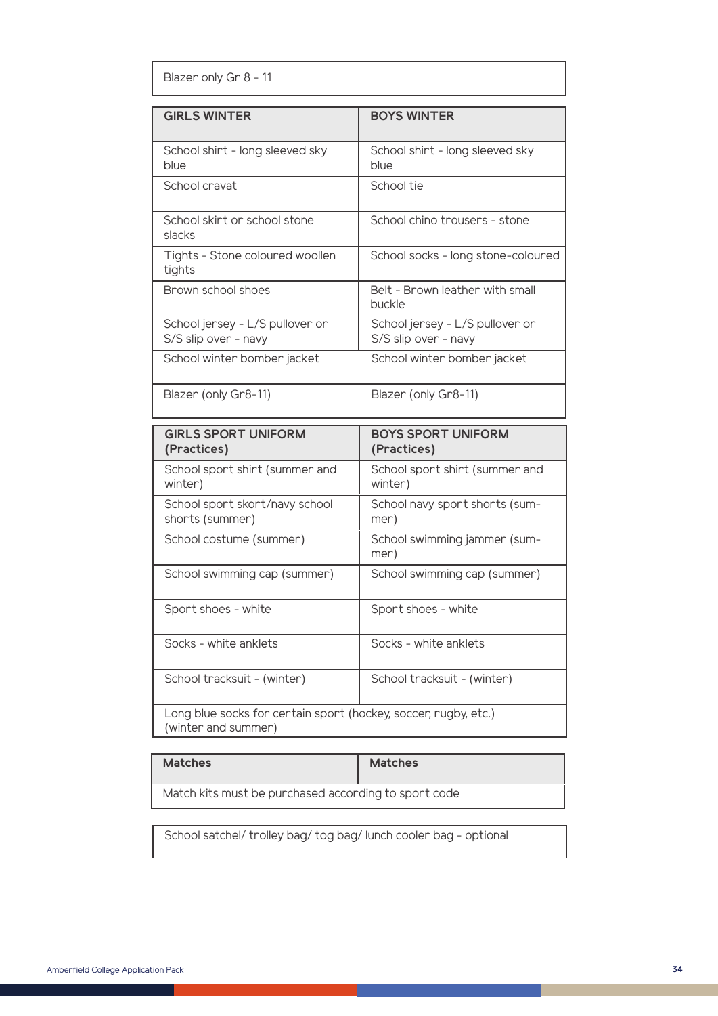Blazer only Gr 8 - 11

| <b>GIRLS WINTER</b><br><b>BOYS WINTER</b><br>School shirt - long sleeved sky<br>School shirt - long sleeved sky<br>blue<br>blue<br>School cravat<br>School tie<br>School skirt or school stone<br>School chino trousers - stone<br>slacks<br>Tights - Stone coloured woollen<br>School socks - long stone-coloured<br>tights<br>Belt - Brown leather with small<br>Brown school shoes<br>buckle<br>School jersey - L/S pullover or<br>School jersey - L/S pullover or<br>S/S slip over - navy<br>S/S slip over - navy<br>School winter bomber jacket<br>School winter bomber jacket<br>Blazer (only Gr8-11)<br>Blazer (only Gr8-11) |  |  |
|-------------------------------------------------------------------------------------------------------------------------------------------------------------------------------------------------------------------------------------------------------------------------------------------------------------------------------------------------------------------------------------------------------------------------------------------------------------------------------------------------------------------------------------------------------------------------------------------------------------------------------------|--|--|
|                                                                                                                                                                                                                                                                                                                                                                                                                                                                                                                                                                                                                                     |  |  |
|                                                                                                                                                                                                                                                                                                                                                                                                                                                                                                                                                                                                                                     |  |  |
|                                                                                                                                                                                                                                                                                                                                                                                                                                                                                                                                                                                                                                     |  |  |
|                                                                                                                                                                                                                                                                                                                                                                                                                                                                                                                                                                                                                                     |  |  |
|                                                                                                                                                                                                                                                                                                                                                                                                                                                                                                                                                                                                                                     |  |  |
|                                                                                                                                                                                                                                                                                                                                                                                                                                                                                                                                                                                                                                     |  |  |
|                                                                                                                                                                                                                                                                                                                                                                                                                                                                                                                                                                                                                                     |  |  |
|                                                                                                                                                                                                                                                                                                                                                                                                                                                                                                                                                                                                                                     |  |  |
|                                                                                                                                                                                                                                                                                                                                                                                                                                                                                                                                                                                                                                     |  |  |

| <b>GIRLS SPORT UNIFORM</b><br>(Practices)                                              | <b>BOYS SPORT UNIFORM</b><br>(Practices)  |
|----------------------------------------------------------------------------------------|-------------------------------------------|
| School sport shirt (summer and<br>winter)                                              | School sport shirt (summer and<br>winter) |
| School sport skort/navy school<br>shorts (summer)                                      | School navy sport shorts (sum-<br>mer)    |
| School costume (summer)                                                                | School swimming jammer (sum-<br>mer)      |
| School swimming cap (summer)                                                           | School swimming cap (summer)              |
| Sport shoes - white                                                                    | Sport shoes - white                       |
| Socks - white anklets                                                                  | Socks - white anklets                     |
| School tracksuit - (winter)                                                            | School tracksuit - (winter)               |
| Long blue socks for certain sport (hockey, soccer, rugby, etc.)<br>(winter and summer) |                                           |

| <b>Matches</b>                                       | <b>Matches</b> |
|------------------------------------------------------|----------------|
| Match kits must be purchased according to sport code |                |

School satchel/ trolley bag/ tog bag/ lunch cooler bag - optional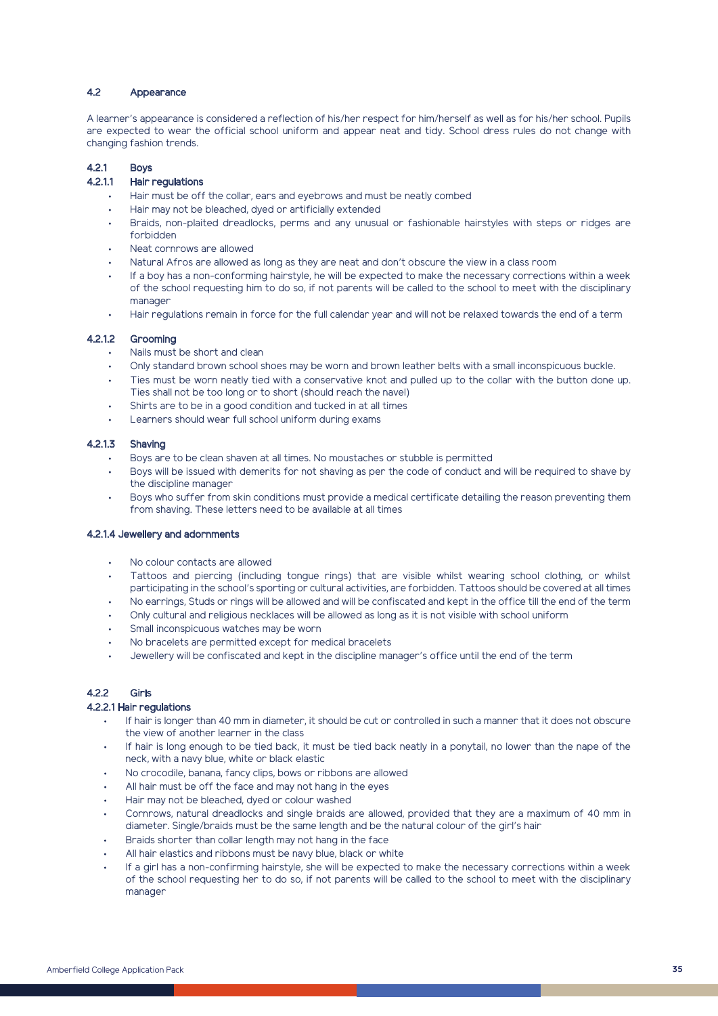#### 4.2 Appearance

A learner's appearance is considered a reflection of his/her respect for him/herself as well as for his/her school. Pupils are expected to wear the official school uniform and appear neat and tidy. School dress rules do not change with changing fashion trends.

## 4.2.1 Boys

# 4.2.1.1 Hair regulations

- Hair must be off the collar, ears and eyebrows and must be neatly combed
- Hair may not be bleached, dyed or artificially extended
- Braids, non-plaited dreadlocks, perms and any unusual or fashionable hairstyles with steps or ridges are forbidden
- Neat cornrows are allowed
- Natural Afros are allowed as long as they are neat and don't obscure the view in a class room
- If a boy has a non-conforming hairstyle, he will be expected to make the necessary corrections within a week of the school requesting him to do so, if not parents will be called to the school to meet with the disciplinary manager
- Hair regulations remain in force for the full calendar year and will not be relaxed towards the end of a term

### 4.2.1.2 Grooming

- Nails must be short and clean
- Only standard brown school shoes may be worn and brown leather belts with a small inconspicuous buckle.
- Ties must be worn neatly tied with a conservative knot and pulled up to the collar with the button done up. Ties shall not be too long or to short (should reach the navel)
- Shirts are to be in a good condition and tucked in at all times
- Learners should wear full school uniform during exams

# 4.2.1.3 Shaving

- Boys are to be clean shaven at all times. No moustaches or stubble is permitted
- Boys will be issued with demerits for not shaving as per the code of conduct and will be required to shave by the discipline manager
- Boys who suffer from skin conditions must provide a medical certificate detailing the reason preventing them from shaving. These letters need to be available at all times

#### 4.2.1.4 Jewellery and adornments

- No colour contacts are allowed
- Tattoos and piercing (including tongue rings) that are visible whilst wearing school clothing, or whilst participating in the school's sporting or cultural activities, are forbidden. Tattoos should be covered at all times
- No earrings, Studs or rings will be allowed and will be confiscated and kept in the office till the end of the term
- Only cultural and religious necklaces will be allowed as long as it is not visible with school uniform
- Small inconspicuous watches may be worn
- No bracelets are permitted except for medical bracelets
- Jewellery will be confiscated and kept in the discipline manager's office until the end of the term

# 4.2.2 Girls

### 4.2.2.1 Hair regulations

- If hair is longer than 40 mm in diameter, it should be cut or controlled in such a manner that it does not obscure the view of another learner in the class
- If hair is long enough to be tied back, it must be tied back neatly in a ponytail, no lower than the nape of the neck, with a navy blue, white or black elastic
- No crocodile, banana, fancy clips, bows or ribbons are allowed
- All hair must be off the face and may not hang in the eyes
- Hair may not be bleached, dyed or colour washed
- Cornrows, natural dreadlocks and single braids are allowed, provided that they are a maximum of 40 mm in diameter. Single/braids must be the same length and be the natural colour of the girl's hair
- Braids shorter than collar length may not hang in the face
- All hair elastics and ribbons must be navy blue, black or white
- If a girl has a non-confirming hairstyle, she will be expected to make the necessary corrections within a week of the school requesting her to do so, if not parents will be called to the school to meet with the disciplinary manager